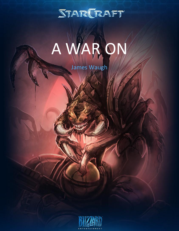



James Waugh

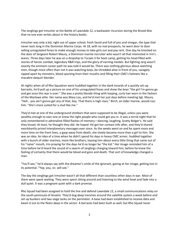The zerglings got Irmscher at the Battle of Lawndale 12, a backwater incursion during the Brood War that no one ever writes about in the history books.

Irmscher was only a kid, right out of upper school, fresh faced and full of piss and vinegar, the type that never lasts long in the Dominion Marine Corps. At 18, with no real prospects, he went door to door selling unregulated fones to make enough money to take girls out and pay rent. One day he knocked on the door of Sergeant Robert Maury, a Dominion marine recruiter who wasn't all that interested in Irm's wares. Three days later he was on a dropship to Turaxis II for boot camp, getting his head filled with stories of heroic combat, legendary R&R trips, and the glory of earning medals. But fighting zerg wasn't exactly the eminent career path he was told it would be. There was nothing glorious about watching men, though more often than not it was watching boys, be shredded alive in front of you, savagely ripped apart by monsters, blood spurting from their mouths and filling their CMC's helmets like a macabre daiquiri blender.

At nights when all of Rho Squadron were huddled together in the dank innards of a quickly set-up barracks, he'd pull up a picture on one of his unregulated fones and show the boys "the girl I'm gonna go and get once this war is over." She was a pretty blonde thing with looping, curly hair worn in the fashion of the Marlowe elite. Her name was Mary Lou, and he'd met her just days before meeting Sgt. Maury. "Hell… you ain't gonna get any of that, boy. That there is high class," Birch, an older marine, would razz him. "She's more suited for a stud like me."

They'd met at one of the underground stimbars that were supposed to be illegal, unless you were wealthy enough to own one or knew the right people who could get you in. It was a torrid night that he only remembered in adrenaline-filled flashes of memory—dancing, laughing, Scotty Bolger's. He said they kissed. At least, he thought they did. He hoped. He got her contact info after, and they'd shared exorbitantly priced interplanetary messages ever since. As the weeks went on and he spent more and more time on the front lines, a gasp away from death, she slowly became more than a girl to him. She was an idea. An idea of a time when he didn't spend his days in heavy CMC armor, huddled together with a bunch of older marines, more like brothers, teasing him about every little thing that came out of his "naïve" mouth, Irm praying for the days he'd no longer be "the kid." Her image reminded him of a time before he'd heard the sound of a swarm of zerglings charging toward him, before he knew the feeling of certainty that there would be blood and gore and death. That sort of knowledge changed a man.

"You'll see," he'd always say with the dreamer's smile of the ignorant, gazing at her image, getting lost in its potential. "Yep, you, sir, will see."

The day the zerglings got Irmscher wasn't all that different than countless other days in war. Most of them were spent waiting. They were spent sitting around and listening to the wind howl and fade into a dull quiet. It was a pregnant quiet with a dark promise.

Rho Squad had been assigned to hold the line and defend Lawndale 12, a small communications relay on the south peninsula of Anselm. They'd dug deep trenches around the satellite system a week before and set up bunkers and two siege tanks on the perimeter. A base had been established to receive data and beam it out to the fleets deep in the sector. A barracks had been built as well, but Rho Squad never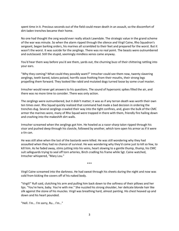spent time in it. Precious seconds out of the field could mean death in an assault, so the discomfort of dirt-laden trenches became their home.

No one had thought the zerg would ever really attack Lawndale. The strategic value in the grand scheme of the war was minute. So when the alarm ripped through the silence and Virgil Caine, Rho Squadron's sergeant, began barking orders, his marines all scrambled to their feet and prepared for the worst. But it wasn't the worst. It was suicide for the zerglings. There was no real point. The beasts were outnumbered and outclassed. Still the stupid, seemingly mindless xenos came anyway.

You'd hear them way before you'd see them, yards out, the churning buzz of their chittering rattling into your ears.

"Why they coming? What could they possibly want?" Irmscher could see them now, twenty slavering zerglings, teeth bared, talons poised, horrific ooze frothing from their mouths, their strong legs propelling them forward. They looked like rabid and mutated dogs turned loose by some cruel master.

Irmscher would never get answers to his questions. The sound of hypersonic spikes filled the air, and there was no more time to consider. There was only action.

The zerglings were outnumbered, but it didn't matter; it was as if any terran death was worth their own ten times over. Rho Squad quickly realized that command had made a bad decision in ordering the trenches dug. Several zerglings crawled their way into the tight confines, and, given the bulk of the CMC armor the marines wore, many of Rho Squad were trapped in there with them, friendly fire hailing down and crashing into the makeshift dirt walls.

Irmscher screamed when the zerglings got him. He howled as a razor-sharp talon ripped through his visor and pushed deep through his clavicle, followed by another, which tore open his armor as if it were a tin can.

He was still alive when the last of the bastards were killed. He was still wondering why they had assaulted when they had no chance of survival. He was wondering why they'd come just to kill so few, to kill him. As he faded away, stims jutting into his veins, heart slowing to a gentle thump, thump, his CMC suit safeguards trying to seal off torn arteries, Birch cradling his frame while Sgt. Caine watched, Irmscher whispered, "Mary Lou."

\*\*\*

Virgil Caine screamed into the darkness. He had sweat through his sheets during the night and now was cold from kicking the covers off of his naked body.

"Virgil!" Rufi said, clutching his arm and pulling him back down to the softness of their pillows and her lips. "You're here, baby. You're with me." She nuzzled his strong shoulder, her delicate blonde hair like silk against the stone of his muscles. Virgil was breathing hard, almost panting. His chest heaved up and down and his heart pounded.

"Hell. I'm… I'm sorry, Ru… I'm…"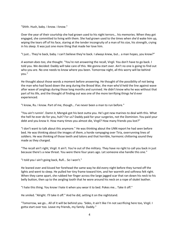"Shhh. Hush, baby. I know. I know."

Over the year of their courtship she had grown used to his night terrors… his memories. When they got engaged, she committed to living with them. She had grown used to the times when she'd wake him up, wiping the tears off of his face, staring at the tender incongruity of a man of his size, his strength, crying in his sleep. It was just one more thing that made her love him.

"I just… They're back, baby. I can't believe they're back. I always knew, but… a man hopes, you know?"

*A woman does too*, she thought. "You're not answering the recall, Virgil. You don't have to go back. I told you. We decided: Daddy will take care of this. We gonna start over. Ain't no one is going to find out who you are. No one needs to know where you been. Tomorrow night, all this worry will be behind you."

He thought about those words a moment before answering. He thought of the possibility of not being the man who had faced down the zerg during the Brood War, the man who'd held the line against wave after wave of zerglings during those long months and survived. He didn't know who he was without that part of his life, and the thought of finding out was one of the more terrifying things he'd ever experienced.

"I know, Ru. I know. Part of me, though… I've never been a man to run before."

"You ain't runnin'. Damn it, Mengsk got his best outta you. He's got new marines to deal with this. What the hell he ever do for you, huh? For us? Daddy paid for your surgeries, not the Dominion. You paid your debt and you know it. How many times you almost die, Virgil? How many friends you lost?"

"I don't want to talk about this anymore." He was thinking about the UNN report he had seen before bed. He was thinking about the images of *them*, a horde rampaging over Tiria, overrunning lines of soldiers. He was thinking of those teeth and talons and that horrible, harmonic chittering sound they made as they charged.

"The recall ain't right, Virgil. It ain't. You're out of the military. They have no right to call you back in just because there's a new threat. You were there four years ago. Let someone else handle this one."

"I told you I ain't going back, Rufi… So I won't."

He leaned over and kissed her forehead the same way he did every night before they turned off the lights and went to sleep. He pulled her tiny frame toward him, and her warmth and softness felt right. When they came apart, she rubbed her finger across the large jagged scar that ran down his neck to his belly button, then up to the zergling tooth that he wore around his neck on a rope of skalet leather.

"I hate this thing. You know I hate it when you wear it to bed. Pokes me… Take it off."

He smiled. "Alright. I'll take it off." And he did, setting it on the nightstand.

"Tomorrow, we go… All of it will be behind you. 'Sides, it ain't like I'm not sacrificing here too, Virgil. I gotta start over too. Leave my friends, my family. Daddy."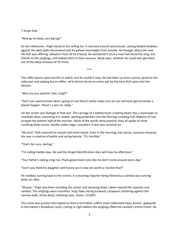"I know that."

"Now go to sleep, you big lug!"

As she rolled over, Virgil stared at the ceiling fan. It churned around and around, casting bladed shadows against the dark walls illuminated only by yellow moonslight from outside. He thought about the new life Rufi was offering. Salvation from all he'd faced. He wondered if once a man had faced the zerg, lost friends to the zerglings, and looked them in their vacuous, bleak eyes, whether he could ever get them out of the deep recesses of his mind.

The UNN reports were horrific to watch, but he couldn't stop. He had been up since sunrise, glued to the vidscreen and sipping burnt coffee. He'd almost drunk an entire pot by the time Rufi came into the kitchen.

\*\*\*

"Why are you watchin' that, Virgil?"

"Don't you wanna know what's going on out there? Gotta make sure we can still even get ourselves a planet-hopper. There's a war on, baby."

On the screen was footage of that war. The carnage of a battlecruiser crashing down into a skyscraper as mutalisks dove, swarming it in midair, spitting projectiles into the flaming, smoking hull. Ribbons of text scraped the bottom half of the monitor. None of the words were positive; they all spoke of mindnumbing body counts, worlds under siege, casualties. A war was certainly on.

"My lord." Rufi covered her mouth with both hands. Even in the morning, hair astray, mascara smeared, she was a creature of petite and caring beauty. "It's horrible."

"That's for sure, darling."

"I'm calling Daddy now. He said the forged identification docs will clear by afternoon."

"Your father's taking a big risk. Plush government jobs like his don't come around every day."

"Don't you think his daughter and future son-in-law are worth a risk like that?"

He nodded, turning back to the screen. A screaming reporter being filmed by a cambot was running down an alley.

"Shooot." Virgil saw them rounding the corner and storming down, down toward the reporter and cambot. The zerglings were countless: long claws slicing outward, carapaces clattering against the narrow walls, those dead, unfeeling eyes. Closer. CLOSER.

The scene was quickly interrupted as Donny Vermillion, UNN's most celebrated news anchor, appeared in the station's broadcast room, cutting in right before the zerglings filled the cambot's entire frame. He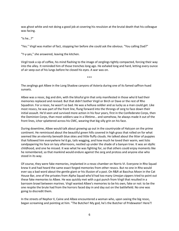was ghost white and not doing a good job at covering his revulsion at the brutal death that his colleague was facing.

"Is he…?"

"Yes." Virgil was matter of fact, stopping her before she could ask the obvious. "You calling Dad?"

"Y-y-yes," she answered, leaving the kitchen.

Virgil took a sip of coffee, his mind flashing to the image of zerglings tightly compacted, forcing their way into the alley. It reminded him of those trenches long ago. He exhaled long and hard, letting every ounce of air seep out of his lungs before he closed his eyes. A war was on.

\*\*\*

The zerglings got Albee in the Long Shadow canyons of Asteria during one of its famed saffron-hued sunsets.

Albee was a resoc, big and dim, with the blissful grin that only manifested in those who'd had their memories replaced and revised. But that didn't bother Virgil or Birch or Dave or the rest of Rho Squadron. For a resoc, he wasn't so bad. He was a helluva soldier and as lucky as a man could get. Like most resocs, he was part of the front line, flung forward into the throngs of zerg to face down their initial assault. He'd seen and survived more action in his four years, first in the Confederate Corps, then the Dominion Corps, than most soldiers saw in a lifetime… and somehow, he always made it out of the front lines, ichor splattered across his CMC, wearing that big silly grin on his face.

During downtime, Albee would talk about growing up out in the countryside of Halcyon on the prime continent. He reminisced about the beautiful green hills covered in high grass that rolled on for what seemed like an eternity beneath blue skies and little fluffy clouds. He talked about the litter of puppies that followed him everywhere he'd go, tails wagging, and how much he loved their warm, wet licks sandpapering his face on lazy afternoons, nestled up under the shade of a banyan tree. It was an idyllic childhood, and one he missed. It was what he was fighting for, so that others could enjoy moments like he remembered, so that mankind would endure against the zerg and protoss and anyone else who stood in its way.

Of course, they were fake memories, implanted in a resoc chamber on Norris VI. Everyone in Rho Squad knew it and had heard the same exact forged memories from other resocs. But no one in Rho would ever say a bad word about the gentle giant or his illusion of a past. On R&R at Bacchus Moon in the Cat House Bar, one of the privates from Alpha Squad who'd had too many Umojan zippers tried to point out these fake memories to Albee. He was quickly met with a gut punch from Virgil that resulted in a barroom brawl between marines. Virgil wanted Albee's memories to be his own, fake or not: to be the one respite the brute had from the horrors faced day in and day out on the battlefield. No one was going to discredit them.

In the streets of Nephor II, Caine and Albee encountered a woman who, upon seeing the big resoc, began screaming and pointing at him. "The Butcher! My god, he's the Butcher of Pridewater! Here?!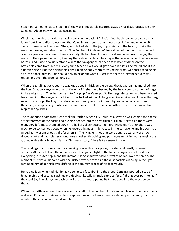Stop him! Someone has to stop him!" She was immediately escorted away by local authorities. Neither Caine nor Albee knew what had caused it.

Weeks later, with the incident gnawing away in the back of Caine's mind, he did some research on his lucky front-line soldier. It was then that Caine learned some things were best left unknown when it came to resocialized marines. Albee, who talked about the joy of puppies and the beauty of hills that went on forever, was also known as "The Butcher of Pridewater" for a string of murders that spanned over ten years in the slums of the capital city. He had been known to torture his victims, to enjoy the sound of their pained screams, keeping them alive for days. The images that accompanied the data were horrific, and Caine now understood where the savagery he had seen take hold of Albee on the battlefield came from. But still, every time Albee's eyes would glaze over in bliss as he talked about the smooth beige fur of the tiny puppies, their nipping baby teeth caressing his arms, wet noses sending his skin into goose bumps, Caine could only think about what a success the resoc program actually was redeeming even the worst among us.

When the zerglings got Albee, he was knee deep in thick purple creep. Rho Squadron had marched into the Long Shadow canyons with a contingent of firebats and backed by the heavy bombardment of siege tanks and goliaths. They had come in to "mop up," as Caine put it. The zerg infestation had been pushed back deep into the canyons to a hive cluster tucked within. As long as a hive survived on Asteria, the zerg would never stop attacking. The strike was a roaring success. Charred hydralisk corpses had sunk into the creep, and spawning pools oozed larvae carcasses. Hatcheries and other structures crumbled in bioplasmic splashes.

The thundering boom from siege tank fire rattled Albee's CMC suit. As always he was leading the charge, at the forefront of the battle and pushing deeper into the hive cluster. It didn't seem as if there were many zerg left, most chopped down in a hail of goliath autocannon fire. Albee didn't think there was much to be concerned about when he lowered his gauss rifle to take in the carnage he and his boys had wrought. It was a glorious sight for a terran. The living entities that were zerg structures were now ripped apart and had splattered onto one another, throbbing and pulsing veins jutting out, spraying the ground with a thick bloody miasma. This was victory. Albee felt a sense of pride.

The zerglings burst from a nearby spawning pool with a cacophony of rabid and mostly unheard screams. Albee didn't see them; no one did. The golden light of the famed canyon sunsets had cast everything in muted sepia, and the infamous long shadows had cut swaths of dark over the creep. The moment must have hit home with the lucky private. It was as if the dust particles dancing in the light reminded him of spring leaves drifting in the country breeze of his fake youth.

He had no idea what had hit him as he collapsed face first into the creep. Zerglings poured on top of him, jabbing and cutting, slashing and ripping, like wild animals come to feed, fighting over position as if they took joy in making sure each one of the pack got to pound its talons deep into the mess below them.

When the battle was over, there was nothing left of the Butcher of Pridewater. He was little more than a scattered Rorschach stain on violet creep, nothing more than a memory etched permanently into the minds of those who had served with him.

\*\*\*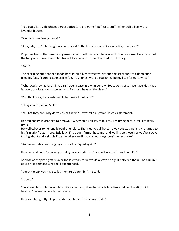"You could farm. Shiloh's got great agriculture programs," Rufi said, stuffing her duffle bag with a lavender blouse.

"We gonna be farmers now?"

"Sure, why not?" Her laughter was musical. "I think that sounds like a nice life; don't you?"

Virgil reached in the closet and yanked a t-shirt off the rack. She waited for his response. He slowly took the hanger out from the collar, tossed it aside, and pushed the shirt into his bag.

"Well?"

The charming grin that had made her first find him attractive, despite the scars and stoic demeanor, filled his face. "Farming sounds like fun… It's honest work… You gonna be my little farmer's wife?"

"Why, you know it. Just think, Virgil: open space, growing our own food. Our kids… if we have kids, that is… well, our kids could grow up with fresh air, have all that land."

"You think we got enough credits to have a lot of land?"

"Things are cheap on Shiloh."

"You bet they are. Why do you think that is?" It wasn't a question. It was a statement.

Her radiant smile drooped to a frown. "Why would you say that? I'm… I'm trying here, Virgil. I'm really trying."

He walked over to her and brought her close. She tried to pull herself away but was instantly returned to his firm grip. "Listen here, little lady. I'll be your farmer husband, and we'll have those kids you're always talking about and a simple little life where we'll know all our neighbors' names and—"

"And never talk about zerglings or… or Rho Squad again?"

He squeezed hard. "Now why would *you* say that? The Corps will always be with me, Ru."

As close as they had gotten over the last year, there would always be a gulf between them. She couldn't possibly understand what he'd experienced.

"Doesn't mean you have to let them rule your life," she said.

"I don't."

She looked him in his eyes. Her smile came back, filling her whole face like a balloon bursting with helium. "I'm gonna be a farmer's wife."

He kissed her gently. "I appreciate this chance to start over. I do."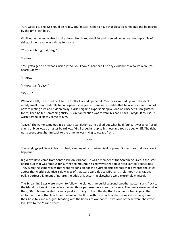"Oh! Gotta go. The IDs should be ready. You, mister, need to have that closet cleaned out and be packed by the time I get back."

Virgil let her go and walked to the closet. He clicked the light and kneeled down. He lifted up a pile of shirts. Underneath was a dusty footlocker.

"You can't bring that, Virg."

"I know."

"You gotta get rid of what's inside it too, you know? There can't be any evidence of who we were. You heard Daddy."

"I know."

"I know it ain't easy."

"It's not."

When she left, he turned back to the footlocker and opened it. Memories wafted up with the dank, moldy smell from inside. He hadn't opened it in years. There were medals that he was once so proud of, now collecting dust and hidden away; a dried cigar; a hypersonic spike; one of Irmscher's unregulated fones. Then he felt something sticky. His initial reaction was to yank his hand back. *Creep!* Of course, it wasn't creep. It slowly came to him.

"Dave." The name came out in a breathy exhalation as he pulled out what he'd found. It was a half-used chunk of blue wax… thruster board wax. Virgil brought it up to his nose and took a deep whiff. The rich, nutty scent brought him back to the time he was trying to escape from.

\*\*\*

The zerglings got Dave in his own bed, sleeping off a drunken night of poker. Sometimes that was how it happened.

Big Wave Dave came from Santori Isle on Miranar. He was a member of the Screaming Sixes, a thruster board club that was famous for surfing the mountain-sized waves that pulverized Santori's coastlines. They were the same waves that were responsible for the hydroelectric charges that powered the cities across that world. Scientists said waves of that scale were due to Miranar's triple-moon gravitational pull, a perfect alignment of nature; the odds of it occurring elsewhere were extremely miniscule.

The Screaming Sixes were known to follow the planet's mercurial seasonal weather patterns and flock to the island continent during winter, when those patterns were sure to coalesce. The swells were massive then, 30- to 60-meter dark oceanic peaks frothing up from the depths like ominous harbingers. The embattled towns that lined the coast would be flush with thruster boarders from across the system, their hospitals and morgues bloating with the bodies of wannabes. It was one of these wannabes who led Dave to the Marine Corps.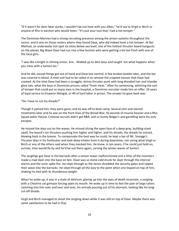"If it wasn't for dem faker punks, I wouldn't be out here with you slikes," he'd say to Virgil or Birch or anyone of Rho in earshot who would listen. "It's just your luck that I had a hot temper."

The Dominion Marines had a strong recruiting presence among the prison systems throughout the sector, and it was on those rosters where they found Dave, who did indeed have a hot temper. At Bar Method, an underwater hot spot six clicks below sea level, one of the hottest thruster board hangouts on the planet, Big Wave Dave had run into a few tourists who were getting a bit too fresh with one of the local girls.

"I was like a knight in shining armor, bro… Walked up to dem boys and taught 'em what happens when you mess with a Santori loc."

And he did, except things got out of hand and Dave lost control. A few broken bottles later, and the bar was covered in blood. A med unit had to be called in to remove the crippled messes that Dave had created. At the time Dave had been a scraggily, skinny thruster punk with long dreaded hair and islander glow tats, what the boys in Dominion prisons called "fresh meat." After his sentencing, admiring the sort of temper that could put so many men in the hospital, a Dominion recruiter made him an offer: 10 years of loyal service to Emperor Mengsk, or 40 of hard labor in prison. The answer he gave back was:

## "Do I have to cut my dreads?"

Though it pained him, they were gone, and he was off to boot camp. Several stim and steroid treatments later and he was on the front lines of the Brood War, 50 pounds of muscle heavier and a Rho Squad poker fixture. Criminal recruits didn't get R&R, and so Scotty Bolger's and gambling were his only escapes.

He missed the days out on the waves. He missed slicing the open face of a deep gray, building-sized swell, the board's ion thrusters pushing him higher and higher, and his dreads, the dreads he missed, blowing back in the breeze. To compensate the best way he could, he kept a bar of Mr. Snorggs's Thruster Wax in his footlocker and took deep inhales from it during downtime, not caring what Virgil or Birch or any of the others said when they mocked him. He knew, in ten years, if he could just hold on, survive, time would fly by and he'd be out there again, carving the winter waves of Santori.

The zerglings got Dave in the barracks after a sensor tower malfunctioned and a litter of the monsters made a mad dash into the base on Seti. Dave was so stone cold drunk he slept through the internal alarms and the sonic spike fire. He slept through as the xenos shredded the security gates and ripped their wave into the barracks. He slept through all the way to the point when one leaped on top of him, shaking his bed with its thunderous weight.

When he woke up, it was in a state of delirium, glaring up into the eyes of death incarnate, a zergling with a Cheshire cat grimace forcing open its mouth. He woke up in time to feel the pain of large talons ramming into him over and over and over, his entrails pouring out of his stomach, looking like his longcut-off dreads.

Virgil and Birch managed to shoot the zergling down while it was still on top of Dave. Maybe there was some satisfaction to be had in that.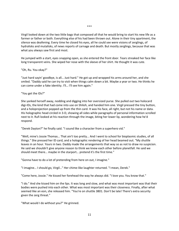\*\*\*

Virgil looked down at the two little bags that composed all that he would bring to start his new life as a farmer or father or both. Everything else of his had been thrown out. Alone in their tiny apartment, the silence was deafening. Every time he closed his eyes, all he could see were visions of zerglings, of hydralisks and mutalisks, of news reports of carnage and death. But mostly zerglings, because that was what you always saw first and most.

He jumped with a start, eyes snapping open, as she entered the front door. Tears streaked her face like long transparent veins. She wiped her nose with the sleeve of her shirt. He thought it was cute.

"Oh, Ru. You okay?"

"Just hard sayin' goodbye, is all… Just hard." He got up and wrapped his arms around her, and she smiled. "Daddy said he can try to visit when things calm down a bit. Maybe a year or two. He thinks he can come under a fake identity. I'll… I'll see him again."

"You get the IDs?"

She yanked herself away, nodding and digging into her oversized purse. She pulled out two holocard digi-IDs, the kind that had come into use on Shiloh, and handed him one. Virgil pressed the tiny button, and a holoprojection popped up from the thin card. It was his face, all right, but not his name or data. His holographic head circled in 3-D, showing all sides while paragraphs of personal information scrolled next to it. Rufi looked at his reaction through the image, biting her lower lip, wondering how he'd respond.

"Derek Dayton?" he finally said. "I sound like a character from a superhero vid."

"Well, mine's Jossie Thomas… That ain't too pretty… And I went to school for bioplasmic studies, of all things." She pressed her ID card, and a holographic rendering of her head beamed out. "My shuttle leaves in an hour. Yours in two. Daddy made the arrangements that way so as not to draw no suspicion. He said we shouldn't give anyone reason to think we knew each other before planetfall. He said we should meet there… maybe in the starport… pretend it's the first time."

"Gonna have to do a lot of pretending from here on out, I imagine."

"I imagine… I should go, Virgil…" Her chime-like laughter returned. "I mean, Derek."

"Come here, Jossie." He kissed her forehead the way he always did. "I love you. You know that."

"I do." And she kissed him on the lips. It was long and slow, and what was most important was that their bodies were pushed into each other. What was most important was their closeness. Finally, after what seemed like an eon, she released him. "You're on shuttle 3801. Don't be late! There's extra security given the zerg threat."

"What would I do without you?" He grinned.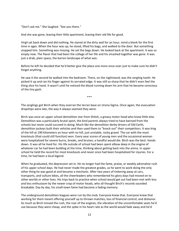"Don't ask me." She laughed. "See you there."

And she was gone, leaving their little apartment, leaving their old life for good.

Virgil sat back down and did nothing. He stared at the dirty wall for an hour, mind a blank for the first time in ages. When the hour was up, he stood, lifted his bags, and walked to the door. But something stopped him. Something was missing. He set the bags down. He looked back at the apartment. It was so empty now. The flavor that had been the collage of her life and his smashed together was gone. It was just a drab, plain space, the barren landscape of what was.

Before he left he decided that he'd better give the place one more once-over just to make sure he didn't forget anything.

He saw it the second he walked into the bedroom. There, on the nightstand, was the zergling tooth. He picked it up and ran his finger against its serrated edge. It was still so sharp that he didn't even feel the thing slice his hand. It wasn't until he noticed the blood running down his arm that he became conscious of the tiny gash.

\*\*\*

The zerglings got Birch when they overran the terran base on Urona Sigma. Once again, the evacuation dropships were late, the way it always seemed they were.

Birch was once an upper school demolition star from Shiloh, a greasy motor head who knew little else. Demolition was a particularly brutal sport, the kind parents always tried to have banned from the schools but never could succeed in doing. Much like the demolition derby drivers of Old Earth, demolition jockeys built their vehicles and then used them to "knock out" their competitors. It was king of the hill at 190 kilometers an hour with no hill, just unstable, rocky gravel. The car with the most knockouts (that could still function) won. Every year scores of young men and the occasional woman were hospitalized for severe burns, breaks, and bruises; a handful would die. Birch was the best. Hands down. It was all he lived for. His life outside of school had been spent elbow deep in the engine of whatever car he had been building at the time, thinking about getting back into the arena. In upper school he held the record for most knockouts and never once had been hospitalized for injuries. For a time, he had been a local legend.

When he graduated, the depression set in. He no longer had the fame, praise, or weekly adrenaline rush of his upper school days. He had never made the greatest grades, so he went to work doing the only other thing he was good at and became a mechanic. After two years of tinkering away at cars, transports, and vulture bikes, all the cheerleaders who remembered his glory days had moved on to other worlds or other lives. His trips back to practice when school would get out had been met with less and less enthusiasm by the newer crop of motor heads, who all thought Birch's records sounded breakable. Day by day, his small-town fame had become a fading memory.

The underground demolition leagues were run by the mob. Everyone knew that. Everyone knew that working for them meant offering yourself up to thrown matches, loss of financial control, and dishonor. As much as Birch missed the rush, the roar of the engines, the vibration of the uncomfortable seats he'd use because they were cheap, and the spike in his heart rate as the world would fade away and he'd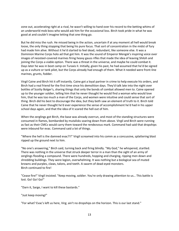zone out, accelerating right at a rival, he wasn't willing to hand over his record to the betting whims of an underworld mob boss who would ask him for the occasional loss. Birch took pride in what he was good at and couldn't imagine letting that one thing go.

But he did miss the rush. He missed being in the action, uncertain if at any moment all hell would break loose, the only thing stopping that being his pure focus. That sort of concentration in the midst of fury had made him alive. Without it he'd started to feel dead, redundant, like someone else. It was a Dominion Marine Corps holo ad that got him. It was the sound of Emperor Mengsk's inspiring voice over images of neosteel-covered marines firing heavy gauss rifles that made the idea of leaving Shiloh and joining the Corps a viable option. There was a threat in the universe, and maybe he could combat it. Days later he was in boot camp on Turaxis II. Initially, given his past, he had assumed that he'd be signed up as a vulture or tank pilot, but the Corps already had enough of them. What it needed were front-line marines, grunts, fodder.

Virgil Caine and Birch hit it off instantly. Caine got a loyal partner in crime to help execute his orders, and Birch had a real friend for the first time since his demolition days. They'd talk late into the night over bottles of Scotty Bolger's, sharing things that only the bonds of combat allowed men to. Caine opened up to the younger soldier, telling him that he never thought he would find a woman who would love him, that he was too much a man of the Corps, and women were intuitive and could sense that sort of thing. Birch did his best to discourage the idea, but they both saw an element of truth to it. Birch told Caine that he never thought he'd ever experience the sense of accomplishment he'd had in his upper school days again, and that the idea of it scared the hell out of him.

When the zerglings got Birch, the base was already overrun, and most of the standing structures were consumed in flames, bombarded by mutalisks soaring down from above. Virgil and Birch were running as fast as their CMCs would carry them toward the rendezvous mark. Command had said that dropships were inbound for evac. Command said a lot of things.

"Where the hell is the damned evac?!!" Virgil screamed into his comm as a concussive, splattering blast ripped up the ground next to him.

"No one's answering," Birch said, turning back and firing blindly. "My God," he whispered, startled. There was nothing in the universe that struck deeper terror in a man than the sight of an army of zerglings flooding a compound. There were hundreds, hopping and charging, ripping men down and shredding buildings. They were legion, overwhelming. It was nothing but a biological sea of muted browns and purples, claws, talons, and teeth. A swarm of dead-eyed monsters. Birch continued to fire!

"Cease fire!" Virgil insisted. "Keep moving, soldier. You're only drawing attention to us… This battle is lost. Go! Go! Go!"

"Darn it, Sarge, I want to kill these bastards."

"Just keep moving!"

"For what? Evac's left us here, Virg; ain't no dropships on the horizon. This is our last stand."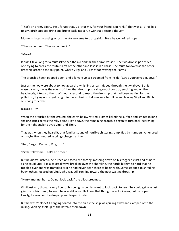"That's an order, Birch… Hell, forget that. Do it for me, for your friend. Not rank!" That was all Virgil had to say. Birch stopped firing and broke back into a run without a second thought.

Moments later, coasting across the skyline came two dropships like a beacon of red hope.

"They're coming… They're coming in."

"Move!"

It didn't take long for a mutalisk to see the aid and tail the terran vessels. The two dropships divided, one trying to break the mutalisk off of the other and lose it in a chase. The muta followed as the other dropship arced to the rally point, where Virgil and Birch stood waving their arms.

The dropship hatch popped open, and a female voice screamed from inside, "Strap yourselves in, boys!"

Just as the two were about to hop aboard, a whistling scream ripped through the sky above. But it wasn't a zerg; it was the sound of the other dropship spiraling out of control, smoking and on fire, heading right toward them. Without a second to react, the dropship that had been waiting for them pulled up, trying not to get caught in the explosion that was sure to follow and leaving Virgil and Birch scurrying for cover.

## BOOOOOOM!

When the dropship hit the ground, the earth below rattled. Flames licked the surface and ignited in long snaking strips across the rally point. High above, the remaining dropship began to turn back, searching for the right angle to evac Virgil and Birch.

That was when they heard it, that familiar sound of horrible chittering, amplified by numbers. A hundred or maybe five hundred zerglings charged at them.

"Run, Sarge… Damn it, Virg, run!"

"Birch, follow me! That's an order."

But he didn't. Instead, he turned and faced the throng, mashing down on his trigger as fast and as hard as he could until, like a colossal wave breaking over the shoreline, the horde hit him so hard that he toppled over and was trampled as if he had never been there to begin with. Some stopped to shred his body; others focused on Virgil, who was still running toward the now-waiting dropship.

"Hurry, marine, hurry. Do not look back!" the pilot screamed.

Virgil just ran, though every fiber of his being made him want to look back, to see if he could get one last glimpse of his friend, to see if he was still alive. He knew that thought was ludicrous, but he hoped. Finally, he reached the dropship and leaped inside.

But he wasn't alone! A zergling soared into the air as the ship was pulling away and clamped onto the railing, yanking itself up as the hatch closed down.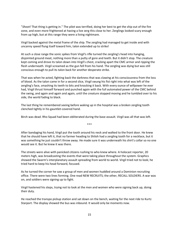"*Shoot!* That thing is getting in." The pilot was terrified, doing her best to get the ship out of the fire zone, and even more frightened at having a live zerg this close to her. Zerglings looked scary enough from up high, but at this range they were a living nightmare.

Virgil backed against the metal frame of the ship. The zergling had managed to get inside and with uncanny speed flung itself toward him, talon extended up to strike!

At such a close range the sonic spikes from Virgil's rifle turned the zergling's head into hanging, disjointed ground meat, nothing more than a putty of gore and teeth. But it didn't stop. The creature kept coming and drove its talon down into Virgil's chest, cracking apart the CMC armor and ripping the flesh underneath. Virgil screamed as the gun fell from his hand. The zergling was dying but was still conscious enough to pull its talon back for another desperate strike.

That was when he acted, fighting back the darkness that was clawing at his consciousness from the loss of blood. As the talon came in for a second slice, Virgil swung his fist right into what was left of the zergling's face, smashing its teeth to bits and knocking it back. With every ounce of willpower he ever had, Virgil thrust himself forward and punched again with the full automated power of the CMC behind the swing, and again and again and again, until the creature stopped moving and he tumbled over to his side, the world fading to black.

The last thing he remembered seeing before waking up in the hospital was a broken zergling tooth clenched tightly in his gauntlet-covered hand.

Birch was dead. Rho Squad had been obliterated during the base assault. Virgil was all that was left.

After bandaging his hand, Virgil put the tooth around his neck and walked to the front door. He knew that he should have left it, that no farmer heading to Shiloh had a zergling tooth for a necklace, but it was something he just couldn't throw away. He made sure it was underneath his shirt's collar so no one would see it. But he knew it was there.

\*\*\*

The streets were alive with panicked citizens rushing to who knew where. A holocast reporter, 20 meters high, was broadcasting the events that were taking place throughout the system. Graphics showed the Swarm's interplanetary assault spreading from world to world. Virgil tried not to look; he tried hard to keep his head forward, focused.

As he turned the corner he saw a group of men and women huddled around a Dominion recruiting office. There were two lines forming. One read NEW RECRUITS; the other, RECALL SOLDIERS. A war was on, and soldiers were signing up to fight.

Virgil hastened his steps, trying not to look at the men and women who were signing back up, doing their duty.

He reached the transpo pickup station and sat down on the bench, waiting for the next ride to Kurtz Starport. The display showed the bus was inbound. It would only be moments now.